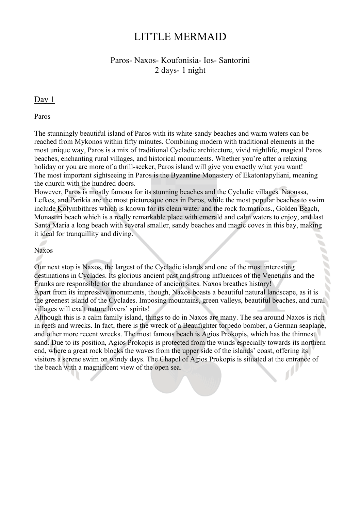# LITTLE MERMAID

# Paros- Naxos- Koufonisia- Ios- Santorini 2 days- 1 night

## Day 1

Paros

The stunningly beautiful island of Paros with its white-sandy beaches and warm waters can be reached from Mykonos within fifty minutes. Combining modern with traditional elements in the most unique way, Paros is a mix of traditional Cycladic architecture, vivid nightlife, magical Paros beaches, enchanting rural villages, and historical monuments. Whether you're after a relaxing holiday or you are more of a thrill-seeker, Paros island will give you exactly what you want! The most important sightseeing in Paros is the Byzantine Monastery of Ekatontapyliani, meaning the church with the hundred doors.

However, Paros is mostly famous for its stunning beaches and the Cycladic villages. Naoussa, Lefkes, and Parikia are the most picturesque ones in Paros, while the most popular beaches to swim include Kolymbithres which is known for its clean water and the rock formations., Golden Beach, Monastiri beach which is a really remarkable place with emerald and calm waters to enjoy, and last Santa Maria a long beach with several smaller, sandy beaches and magic coves in this bay, making it ideal for tranquillity and diving.

#### Naxos

Our next stop is Naxos, the largest of the Cycladic islands and one of the most interesting destinations in Cyclades. Its glorious ancient past and strong influences of the Venetians and the Franks are responsible for the abundance of ancient sites. Naxos breathes history! Apart from its impressive monuments, though, Naxos boasts a beautiful natural landscape, as it is the greenest island of the Cyclades. Imposing mountains, green valleys, beautiful beaches, and rural villages will exalt nature lovers' spirits!

Although this is a calm family island, things to do in Naxos are many. The sea around Naxos is rich in reefs and wrecks. In fact, there is the wreck of a Beaufighter torpedo bomber, a German seaplane, and other more recent wrecks. The most famous beach is Agios Prokopis, which has the thinnest sand. Due to its position, Agios Prokopis is protected from the winds especially towards its northern end, where a great rock blocks the waves from the upper side of the islands' coast, offering its visitors a serene swim on windy days. The Chapel of Agios Prokopis is situated at the entrance of the beach with a magnificent view of the open sea.